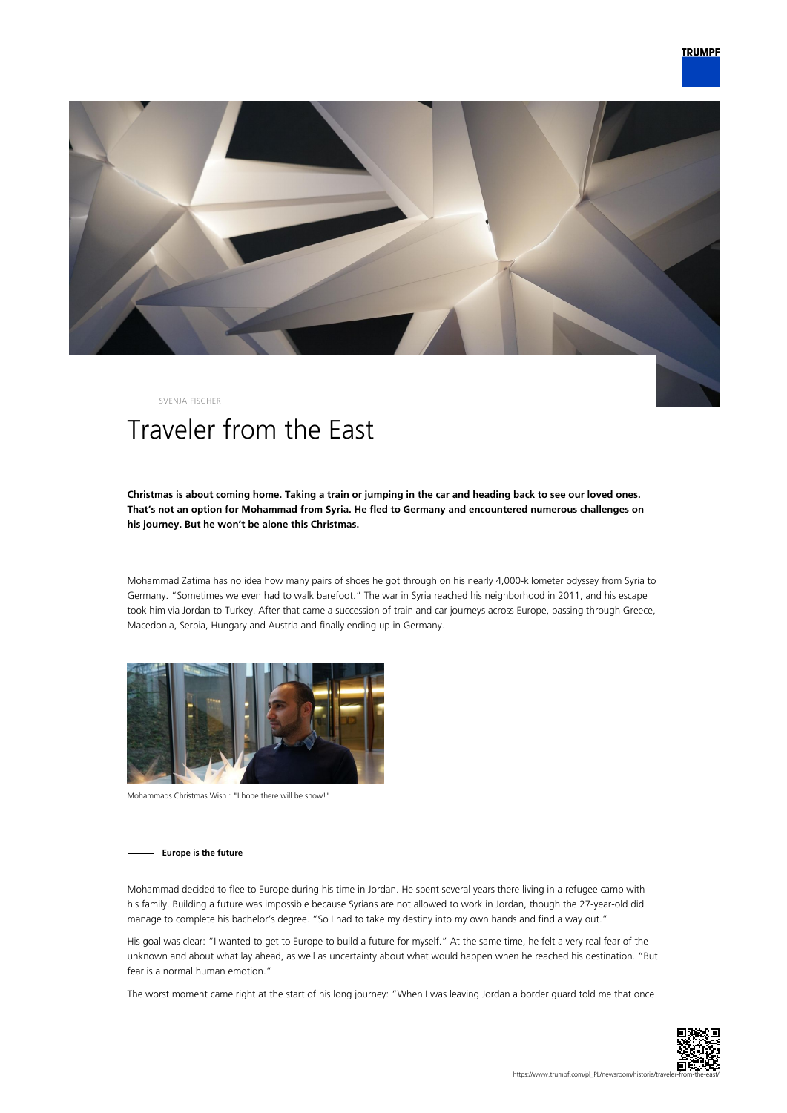

SVENJA FISCHER

# Traveler from the East

# **Christmas is about coming home. Taking a train or jumping in the car and heading back to see our loved ones. That's not an option for Mohammad from Syria. He fled to Germany and encountered numerous challenges on his journey. But he won't be alone this Christmas.**

Mohammad Zatima has no idea how many pairs of shoes he got through on his nearly 4,000-kilometer odyssey from Syria to Germany. "Sometimes we even had to walk barefoot." The war in Syria reached his neighborhood in 2011, and his escape took him via Jordan to Turkey. After that came a succession of train and car journeys across Europe, passing through Greece, Macedonia, Serbia, Hungary and Austria and finally ending up in Germany.



Mohammads Christmas Wish : "I hope there will be snow!".

## **Europe is the future**

Mohammad decided to flee to Europe during his time in Jordan. He spent several years there living in a refugee camp with his family. Building a future was impossible because Syrians are not allowed to work in Jordan, though the 27-year-old did manage to complete his bachelor's degree. "So I had to take my destiny into my own hands and find a way out."

His goal was clear: "I wanted to get to Europe to build a future for myself." At the same time, he felt a very real fear of the unknown and about what lay ahead, as well as uncertainty about what would happen when he reached his destination. "But fear is a normal human emotion."

The worst moment came right at the start of his long journey: "When I was leaving Jordan a border guard told me that once